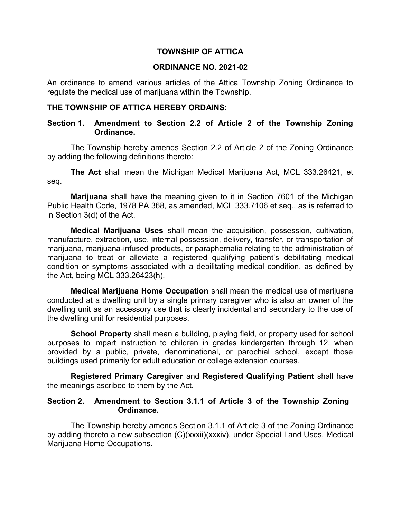### **TOWNSHIP OF ATTICA**

#### **ORDINANCE NO. 2021-02**

An ordinance to amend various articles of the Attica Township Zoning Ordinance to regulate the medical use of marijuana within the Township.

## **THE TOWNSHIP OF ATTICA HEREBY ORDAINS:**

# **Section 1. Amendment to Section 2.2 of Article 2 of the Township Zoning Ordinance.**

The Township hereby amends Section 2.2 of Article 2 of the Zoning Ordinance by adding the following definitions thereto:

**The Act** shall mean the Michigan Medical Marijuana Act, MCL 333.26421, et seq.

**Marijuana** shall have the meaning given to it in Section 7601 of the Michigan Public Health Code, 1978 PA 368, as amended, MCL 333.7106 et seq., as is referred to in Section 3(d) of the Act.

**Medical Marijuana Uses** shall mean the acquisition, possession, cultivation, manufacture, extraction, use, internal possession, delivery, transfer, or transportation of marijuana, marijuana-infused products, or paraphernalia relating to the administration of marijuana to treat or alleviate a registered qualifying patient's debilitating medical condition or symptoms associated with a debilitating medical condition, as defined by the Act, being MCL 333.26423(h).

**Medical Marijuana Home Occupation** shall mean the medical use of marijuana conducted at a dwelling unit by a single primary caregiver who is also an owner of the dwelling unit as an accessory use that is clearly incidental and secondary to the use of the dwelling unit for residential purposes.

**School Property** shall mean a building, playing field, or property used for school purposes to impart instruction to children in grades kindergarten through 12, when provided by a public, private, denominational, or parochial school, except those buildings used primarily for adult education or college extension courses.

**Registered Primary Caregiver** and **Registered Qualifying Patient** shall have the meanings ascribed to them by the Act.

### **Section 2. Amendment to Section 3.1.1 of Article 3 of the Township Zoning Ordinance.**

The Township hereby amends Section 3.1.1 of Article 3 of the Zoning Ordinance by adding thereto a new subsection (C)(\*\*\*ii)(xxxiv), under Special Land Uses, Medical Marijuana Home Occupations.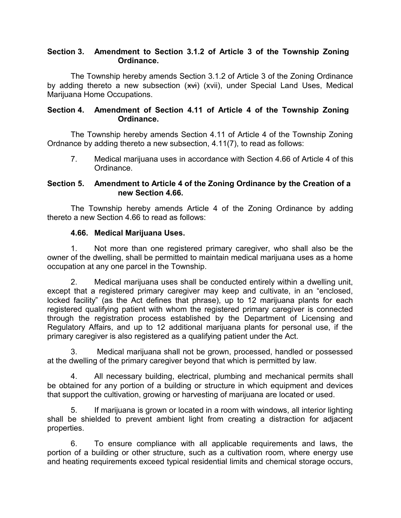## **Section 3. Amendment to Section 3.1.2 of Article 3 of the Township Zoning Ordinance.**

The Township hereby amends Section 3.1.2 of Article 3 of the Zoning Ordinance by adding thereto a new subsection (\*\*i) (xvii), under Special Land Uses, Medical Marijuana Home Occupations.

# **Section 4. Amendment of Section 4.11 of Article 4 of the Township Zoning Ordinance.**

The Township hereby amends Section 4.11 of Article 4 of the Township Zoning Ordnance by adding thereto a new subsection, 4.11(7), to read as follows:

7. Medical marijuana uses in accordance with Section 4.66 of Article 4 of this Ordinance.

# **Section 5. Amendment to Article 4 of the Zoning Ordinance by the Creation of a new Section 4.66.**

The Township hereby amends Article 4 of the Zoning Ordinance by adding thereto a new Section 4.66 to read as follows:

# **4.66. Medical Marijuana Uses.**

1. Not more than one registered primary caregiver, who shall also be the owner of the dwelling, shall be permitted to maintain medical marijuana uses as a home occupation at any one parcel in the Township.

2. Medical marijuana uses shall be conducted entirely within a dwelling unit, except that a registered primary caregiver may keep and cultivate, in an "enclosed, locked facility" (as the Act defines that phrase), up to 12 marijuana plants for each registered qualifying patient with whom the registered primary caregiver is connected through the registration process established by the Department of Licensing and Regulatory Affairs, and up to 12 additional marijuana plants for personal use, if the primary caregiver is also registered as a qualifying patient under the Act.

3. Medical marijuana shall not be grown, processed, handled or possessed at the dwelling of the primary caregiver beyond that which is permitted by law.

4. All necessary building, electrical, plumbing and mechanical permits shall be obtained for any portion of a building or structure in which equipment and devices that support the cultivation, growing or harvesting of marijuana are located or used.

5. If marijuana is grown or located in a room with windows, all interior lighting shall be shielded to prevent ambient light from creating a distraction for adjacent properties.

6. To ensure compliance with all applicable requirements and laws, the portion of a building or other structure, such as a cultivation room, where energy use and heating requirements exceed typical residential limits and chemical storage occurs,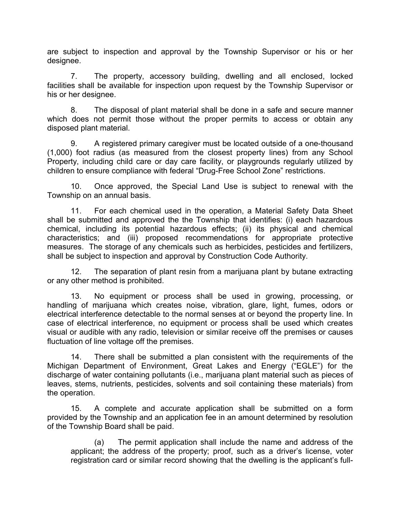are subject to inspection and approval by the Township Supervisor or his or her designee.

7. The property, accessory building, dwelling and all enclosed, locked facilities shall be available for inspection upon request by the Township Supervisor or his or her designee.

8. The disposal of plant material shall be done in a safe and secure manner which does not permit those without the proper permits to access or obtain any disposed plant material.

9. A registered primary caregiver must be located outside of a one-thousand (1,000) foot radius (as measured from the closest property lines) from any School Property, including child care or day care facility, or playgrounds regularly utilized by children to ensure compliance with federal "Drug-Free School Zone" restrictions.

10. Once approved, the Special Land Use is subject to renewal with the Township on an annual basis.

11. For each chemical used in the operation, a Material Safety Data Sheet shall be submitted and approved the the Township that identifies: (i) each hazardous chemical, including its potential hazardous effects; (ii) its physical and chemical characteristics; and (iii) proposed recommendations for appropriate protective measures. The storage of any chemicals such as herbicides, pesticides and fertilizers, shall be subject to inspection and approval by Construction Code Authority.

12. The separation of plant resin from a marijuana plant by butane extracting or any other method is prohibited.

13. No equipment or process shall be used in growing, processing, or handling of marijuana which creates noise, vibration, glare, light, fumes, odors or electrical interference detectable to the normal senses at or beyond the property line. In case of electrical interference, no equipment or process shall be used which creates visual or audible with any radio, television or similar receive off the premises or causes fluctuation of line voltage off the premises.

14. There shall be submitted a plan consistent with the requirements of the Michigan Department of Environment, Great Lakes and Energy ("EGLE") for the discharge of water containing pollutants (i.e., marijuana plant material such as pieces of leaves, stems, nutrients, pesticides, solvents and soil containing these materials) from the operation.

15. A complete and accurate application shall be submitted on a form provided by the Township and an application fee in an amount determined by resolution of the Township Board shall be paid.

(a) The permit application shall include the name and address of the applicant; the address of the property; proof, such as a driver's license, voter registration card or similar record showing that the dwelling is the applicant's full-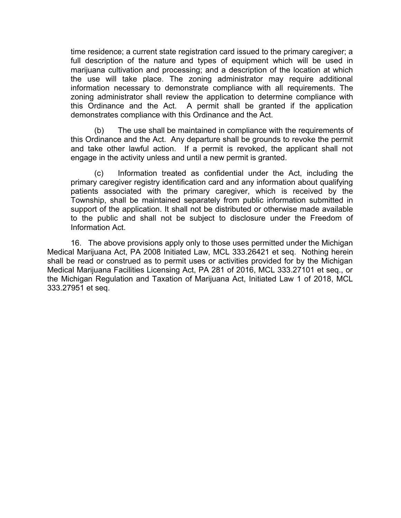time residence; a current state registration card issued to the primary caregiver; a full description of the nature and types of equipment which will be used in marijuana cultivation and processing; and a description of the location at which the use will take place. The zoning administrator may require additional information necessary to demonstrate compliance with all requirements. The zoning administrator shall review the application to determine compliance with this Ordinance and the Act. A permit shall be granted if the application demonstrates compliance with this Ordinance and the Act.

(b) The use shall be maintained in compliance with the requirements of this Ordinance and the Act. Any departure shall be grounds to revoke the permit and take other lawful action. If a permit is revoked, the applicant shall not engage in the activity unless and until a new permit is granted.

(c) Information treated as confidential under the Act, including the primary caregiver registry identification card and any information about qualifying patients associated with the primary caregiver, which is received by the Township, shall be maintained separately from public information submitted in support of the application. It shall not be distributed or otherwise made available to the public and shall not be subject to disclosure under the Freedom of Information Act.

16. The above provisions apply only to those uses permitted under the Michigan Medical Marijuana Act, PA 2008 Initiated Law, MCL 333.26421 et seq. Nothing herein shall be read or construed as to permit uses or activities provided for by the Michigan Medical Marijuana Facilities Licensing Act, PA 281 of 2016, MCL 333.27101 et seq., or the Michigan Regulation and Taxation of Marijuana Act, Initiated Law 1 of 2018, MCL 333.27951 et seq.